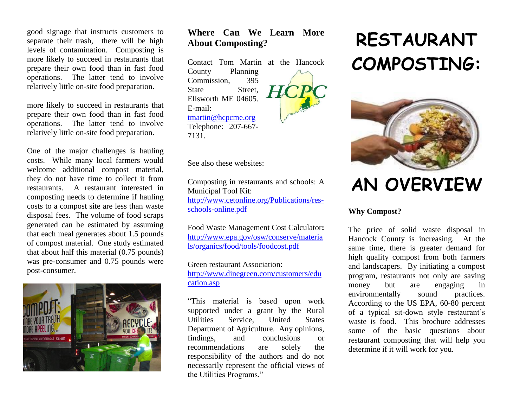good signage that instructs customers to separate their trash, there will be high levels of contamination. Composting is more likely to succeed in restaurants that prepare their own food than in fast food operations. The latter tend to involve relatively little on-site food preparation.

more likely to succeed in restaurants that prepare their own food than in fast food operations. The latter tend to involve relatively little on-site food preparation.

One of the major challenges is hauling costs. While many local farmers would welcome additional compost material, they do not have time to collect it from restaurants. A restaurant interested in composting needs to determine if hauling costs to a compost site are less than waste disposal fees. The volume of food scraps generated can be estimated by assuming that each meal generates about 1.5 pounds of compost material. One study estimated that about half this material (0.75 pounds) was pre-consumer and 0.75 pounds were post-consumer.



### **Where Can We Learn More About Composting?**

Contact Tom Martin at the Hancock County Planning Commission, 395 State Street. Ellsworth ME 04605. E-mail: [tmartin@hcpcme.org](mailto:tmartin@hcpcme.org) Telephone: 207-667- 7131.

See also these websites:

Composting in restaurants and schools: A Municipal Tool Kit: [http://www.cetonline.org/Publications/res](http://www.cetonline.org/Publications/res-schools-online.pdf)[schools-online.pdf](http://www.cetonline.org/Publications/res-schools-online.pdf)

Food Waste Management Cost Calculator**:** [http://www.epa.gov/osw/conserve/materia](http://www.epa.gov/osw/conserve/materials/organics/food/tools/foodcost.pdf) [ls/organics/food/tools/foodcost.pdf](http://www.epa.gov/osw/conserve/materials/organics/food/tools/foodcost.pdf)

Green restaurant Association: [http://www.dinegreen.com/customers/edu](http://www.dinegreen.com/customers/education.asp) [cation.asp](http://www.dinegreen.com/customers/education.asp)

"This material is based upon work supported under a grant by the Rural Utilities Service, United States Department of Agriculture. Any opinions, findings, and conclusions or recommendations are solely the responsibility of the authors and do not necessarily represent the official views of the Utilities Programs."

# **RESTAURANT COMPOSTING:**



## **AN OVERVIEW**

#### **Why Compost?**

The price of solid waste disposal in Hancock County is increasing. At the same time, there is greater demand for high quality compost from both farmers and landscapers. By initiating a compost program, restaurants not only are saving money but are engaging in environmentally sound practices. According to the US EPA, 60-80 percent of a typical sit-down style restaurant's waste is food. This brochure addresses some of the basic questions about restaurant composting that will help you determine if it will work for you.